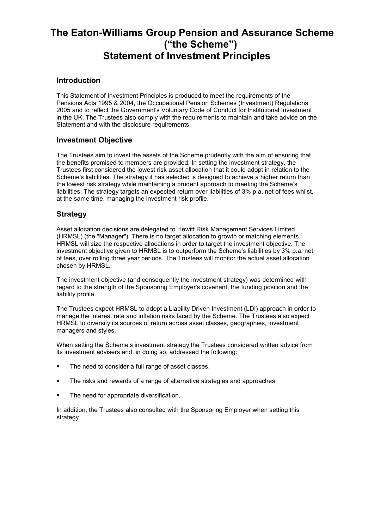# **The Eaton-Williams Group Pension and Assurance Scheme ("the Scheme") Statement of Investment Principles**

### **Introduction**

This Statement of Investment Principles is produced to meet the requirements of the Pensions Acts 1995 & 2004, the Occupational Pension Schemes (Investment) Regulations 2005 and to reflect the Government's Voluntary Code of Conduct for Institutional Investment in the UK. The Trustees also comply with the requirements to maintain and take advice on the Statement and with the disclosure requirements.

## **Investment Objective**

The Trustees aim to invest the assets of the Scheme prudently with the aim of ensuring that the benefits promised to members are provided. In setting the investment strategy, the Trustees first considered the lowest risk asset allocation that it could adopt in relation to the Scheme's liabilities. The strategy it has selected is designed to achieve a higher return than the lowest risk strategy while maintaining a prudent approach to meeting the Scheme's liabilities. The strategy targets an expected return over liabilities of 3% p.a. net of fees whilst, at the same time, managing the investment risk profile.

### **Strategy**

Asset allocation decisions are delegated to Hewitt Risk Management Services Limited (HRMSL) (the "Manager"). There is no target allocation to growth or matching elements. HRMSL will size the respective allocations in order to target the investment objective. The investment objective given to HRMSL is to outperform the Scheme's liabilities by 3% p.a. net of fees, over rolling three year periods. The Trustees will monitor the actual asset allocation chosen by HRMSL.

The investment objective (and consequently the investment strategy) was determined with regard to the strength of the Sponsoring Employer's covenant, the funding position and the liability profile.

The Trustees expect HRMSL to adopt a Liability Driven Investment (LDI) approach in order to manage the interest rate and inflation risks faced by the Scheme. The Trustees also expect HRMSL to diversify its sources of return across asset classes, geographies, investment managers and styles.

When setting the Scheme's investment strategy the Trustees considered written advice from its investment advisers and, in doing so, addressed the following:

- The need to consider a full range of asset classes.
- The risks and rewards of a range of alternative strategies and approaches.
- The need for appropriate diversification.

In addition, the Trustees also consulted with the Sponsoring Employer when setting this strategy.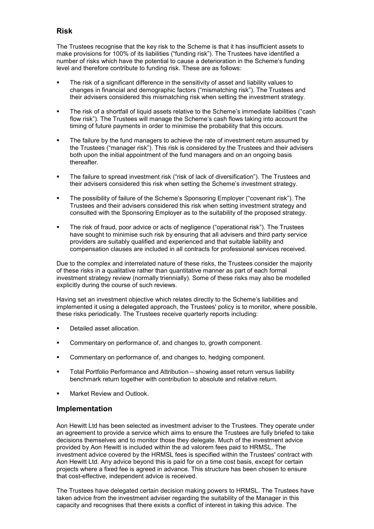# **Risk**

The Trustees recognise that the key risk to the Scheme is that it has insufficient assets to make provisions for 100% of its liabilities ("funding risk"). The Trustees have identified a number of risks which have the potential to cause a deterioration in the Scheme's funding level and therefore contribute to funding risk. These are as follows:

- The risk of a significant difference in the sensitivity of asset and liability values to changes in financial and demographic factors ("mismatching risk"). The Trustees and their advisers considered this mismatching risk when setting the investment strategy.
- The risk of a shortfall of liquid assets relative to the Scheme's immediate liabilities ("cash flow risk"). The Trustees will manage the Scheme's cash flows taking into account the timing of future payments in order to minimise the probability that this occurs.
- The failure by the fund managers to achieve the rate of investment return assumed by the Trustees ("manager risk"). This risk is considered by the Trustees and their advisers both upon the initial appointment of the fund managers and on an ongoing basis thereafter.
- The failure to spread investment risk ("risk of lack of diversification"). The Trustees and their advisers considered this risk when setting the Scheme's investment strategy.
- The possibility of failure of the Scheme's Sponsoring Employer ("covenant risk"). The Trustees and their advisers considered this risk when setting investment strategy and consulted with the Sponsoring Employer as to the suitability of the proposed strategy.
- The risk of fraud, poor advice or acts of negligence ("operational risk"). The Trustees have sought to minimise such risk by ensuring that all advisers and third party service providers are suitably qualified and experienced and that suitable liability and compensation clauses are included in all contracts for professional services received.

Due to the complex and interrelated nature of these risks, the Trustees consider the majority of these risks in a qualitative rather than quantitative manner as part of each formal investment strategy review (normally triennially). Some of these risks may also be modelled explicitly during the course of such reviews.

Having set an investment objective which relates directly to the Scheme's liabilities and implemented it using a delegated approach, the Trustees' policy is to monitor, where possible, these risks periodically. The Trustees receive quarterly reports including:

- Detailed asset allocation.
- **EXECOMMENT** Commentary on performance of, and changes to, growth component.
- **EXECOMMENT** Commentary on performance of, and changes to, hedging component.
- Total Portfolio Performance and Attribution showing asset return versus liability benchmark return together with contribution to absolute and relative return.
- Market Review and Outlook.

### **Implementation**

Aon Hewitt Ltd has been selected as investment adviser to the Trustees. They operate under an agreement to provide a service which aims to ensure the Trustees are fully briefed to take decisions themselves and to monitor those they delegate. Much of the investment advice provided by Aon Hewitt is included within the ad valorem fees paid to HRMSL. The investment advice covered by the HRMSL fees is specified within the Trustees' contract with Aon Hewitt Ltd. Any advice beyond this is paid for on a time cost basis, except for certain projects where a fixed fee is agreed in advance. This structure has been chosen to ensure that cost-effective, independent advice is received.

The Trustees have delegated certain decision making powers to HRMSL. The Trustees have taken advice from the investment adviser regarding the suitability of the Manager in this capacity and recognises that there exists a conflict of interest in taking this advice. The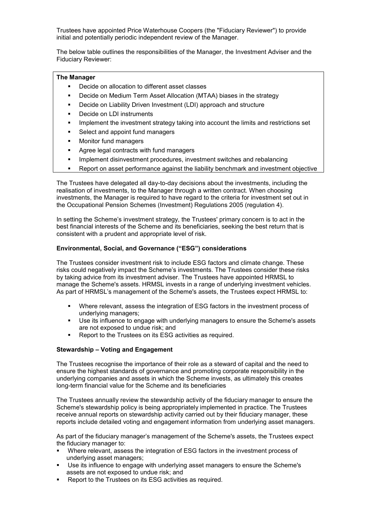Trustees have appointed Price Waterhouse Coopers (the "Fiduciary Reviewer") to provide initial and potentially periodic independent review of the Manager.

The below table outlines the responsibilities of the Manager, the Investment Adviser and the Fiduciary Reviewer:

#### **The Manager**

- Decide on allocation to different asset classes
- Decide on Medium Term Asset Allocation (MTAA) biases in the strategy
- **-** Decide on Liability Driven Investment (LDI) approach and structure
- Decide on LDI instruments
- **IMPLEMENT IMPLEMENT IMPLEMENT IMPLEMENT IMPLY** Implement the investment strategy taking into account the limits and restrictions set
- Select and appoint fund managers
- **Nonitor fund managers**
- Agree legal contracts with fund managers
- **IMPLEMENT Implement disinvestment procedures, investment switches and rebalancing**
- Report on asset performance against the liability benchmark and investment objective

The Trustees have delegated all day-to-day decisions about the investments, including the realisation of investments, to the Manager through a written contract. When choosing investments, the Manager is required to have regard to the criteria for investment set out in the Occupational Pension Schemes (Investment) Regulations 2005 (regulation 4).

In setting the Scheme's investment strategy, the Trustees' primary concern is to act in the best financial interests of the Scheme and its beneficiaries, seeking the best return that is consistent with a prudent and appropriate level of risk.

#### **Environmental, Social, and Governance ("ESG") considerations**

The Trustees consider investment risk to include ESG factors and climate change. These risks could negatively impact the Scheme's investments. The Trustees consider these risks by taking advice from its investment adviser. The Trustees have appointed HRMSL to manage the Scheme's assets. HRMSL invests in a range of underlying investment vehicles. As part of HRMSL's management of the Scheme's assets, the Trustees expect HRMSL to:

- Where relevant, assess the integration of ESG factors in the investment process of underlying managers;
- Use its influence to engage with underlying managers to ensure the Scheme's assets are not exposed to undue risk; and
- Report to the Trustees on its ESG activities as required.

#### **Stewardship – Voting and Engagement**

The Trustees recognise the importance of their role as a steward of capital and the need to ensure the highest standards of governance and promoting corporate responsibility in the underlying companies and assets in which the Scheme invests, as ultimately this creates long-term financial value for the Scheme and its beneficiaries

The Trustees annually review the stewardship activity of the fiduciary manager to ensure the Scheme's stewardship policy is being appropriately implemented in practice. The Trustees receive annual reports on stewardship activity carried out by their fiduciary manager, these reports include detailed voting and engagement information from underlying asset managers.

As part of the fiduciary manager's management of the Scheme's assets, the Trustees expect the fiduciary manager to:

- Where relevant, assess the integration of ESG factors in the investment process of underlying asset managers;
- Use its influence to engage with underlying asset managers to ensure the Scheme's assets are not exposed to undue risk; and
- Report to the Trustees on its ESG activities as required.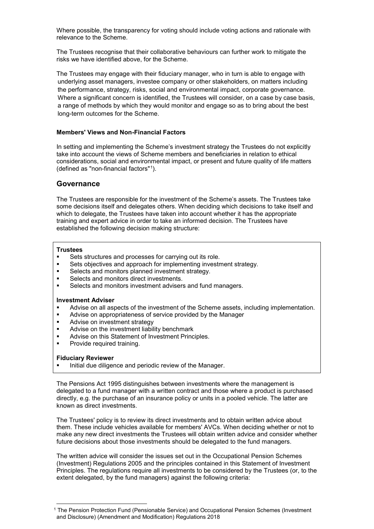Where possible, the transparency for voting should include voting actions and rationale with relevance to the Scheme.

The Trustees recognise that their collaborative behaviours can further work to mitigate the risks we have identified above, for the Scheme.

The Trustees may engage with their fiduciary manager, who in turn is able to engage with underlying asset managers, investee company or other stakeholders, on matters including the performance, strategy, risks, social and environmental impact, corporate governance. Where a significant concern is identified, the Trustees will consider, on a case by case basis, a range of methods by which they would monitor and engage so as to bring about the best long-term outcomes for the Scheme.

#### **Members' Views and Non-Financial Factors**

In setting and implementing the Scheme's investment strategy the Trustees do not explicitly take into account the views of Scheme members and beneficiaries in relation to ethical considerations, social and environmental impact, or present and future quality of life matters (defined as "non-financial factors"[1](#page-3-0)).

### **Governance**

The Trustees are responsible for the investment of the Scheme's assets. The Trustees take some decisions itself and delegates others. When deciding which decisions to take itself and which to delegate, the Trustees have taken into account whether it has the appropriate training and expert advice in order to take an informed decision. The Trustees have established the following decision making structure:

#### **Trustees**

- **Sets structures and processes for carrying out its role.**
- Sets objectives and approach for implementing investment strategy.
- Selects and monitors planned investment strategy.<br>Selects and monitors direct investments
- Selects and monitors direct investments.
- Selects and monitors investment advisers and fund managers.

#### **Investment Adviser**

- Advise on all aspects of the investment of the Scheme assets, including implementation.
- Advise on appropriateness of service provided by the Manager<br>• Advise on investment strategy
- Advise on investment strategy
- **Advise on the investment liability benchmark**
- **Advise on this Statement of Investment Principles.**
- **•** Provide required training.

#### **Fiduciary Reviewer**

-

Initial due diligence and periodic review of the Manager.

The Pensions Act 1995 distinguishes between investments where the management is delegated to a fund manager with a written contract and those where a product is purchased directly, e.g. the purchase of an insurance policy or units in a pooled vehicle. The latter are known as direct investments.

The Trustees' policy is to review its direct investments and to obtain written advice about them. These include vehicles available for members' AVCs. When deciding whether or not to make any new direct investments the Trustees will obtain written advice and consider whether future decisions about those investments should be delegated to the fund managers.

The written advice will consider the issues set out in the Occupational Pension Schemes (Investment) Regulations 2005 and the principles contained in this Statement of Investment Principles. The regulations require all investments to be considered by the Trustees (or, to the extent delegated, by the fund managers) against the following criteria:

<span id="page-3-0"></span><sup>&</sup>lt;sup>1</sup> The Pension Protection Fund (Pensionable Service) and Occupational Pension Schemes (Investment and Disclosure) (Amendment and Modification) Regulations 2018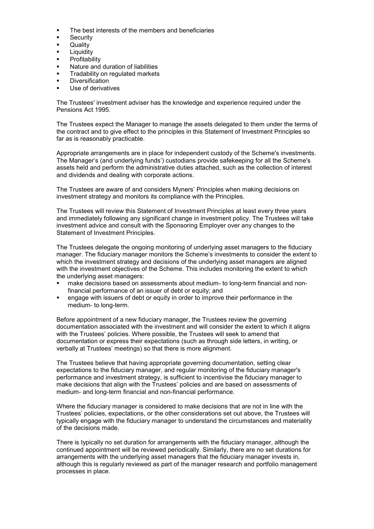- The best interests of the members and beneficiaries
- **Security**
- **Quality**
- Liquidity
- **Profitability**
- Nature and duration of liabilities
- Tradability on regulated markets
- Diversification
- Use of derivatives

The Trustees' investment adviser has the knowledge and experience required under the Pensions Act 1995.

The Trustees expect the Manager to manage the assets delegated to them under the terms of the contract and to give effect to the principles in this Statement of Investment Principles so far as is reasonably practicable.

Appropriate arrangements are in place for independent custody of the Scheme's investments. The Manager's (and underlying funds') custodians provide safekeeping for all the Scheme's assets held and perform the administrative duties attached, such as the collection of interest and dividends and dealing with corporate actions.

The Trustees are aware of and considers Myners' Principles when making decisions on investment strategy and monitors its compliance with the Principles.

The Trustees will review this Statement of Investment Principles at least every three years and immediately following any significant change in investment policy. The Trustees will take investment advice and consult with the Sponsoring Employer over any changes to the Statement of Investment Principles.

The Trustees delegate the ongoing monitoring of underlying asset managers to the fiduciary manager. The fiduciary manager monitors the Scheme's investments to consider the extent to which the investment strategy and decisions of the underlying asset managers are aligned with the investment objectives of the Scheme. This includes monitoring the extent to which the underlying asset managers:

- make decisions based on assessments about medium- to long-term financial and nonfinancial performance of an issuer of debt or equity; and
- engage with issuers of debt or equity in order to improve their performance in the medium- to long-term.

Before appointment of a new fiduciary manager, the Trustees review the governing documentation associated with the investment and will consider the extent to which it aligns with the Trustees' policies. Where possible, the Trustees will seek to amend that documentation or express their expectations (such as through side letters, in writing, or verbally at Trustees' meetings) so that there is more alignment.

The Trustees believe that having appropriate governing documentation, setting clear expectations to the fiduciary manager, and regular monitoring of the fiduciary manager's performance and investment strategy, is sufficient to incentivise the fiduciary manager to make decisions that align with the Trustees' policies and are based on assessments of medium- and long-term financial and non-financial performance.

Where the fiduciary manager is considered to make decisions that are not in line with the Trustees' policies, expectations, or the other considerations set out above, the Trustees will typically engage with the fiduciary manager to understand the circumstances and materiality of the decisions made.

There is typically no set duration for arrangements with the fiduciary manager, although the continued appointment will be reviewed periodically. Similarly, there are no set durations for arrangements with the underlying asset managers that the fiduciary manager invests in, although this is regularly reviewed as part of the manager research and portfolio management processes in place.